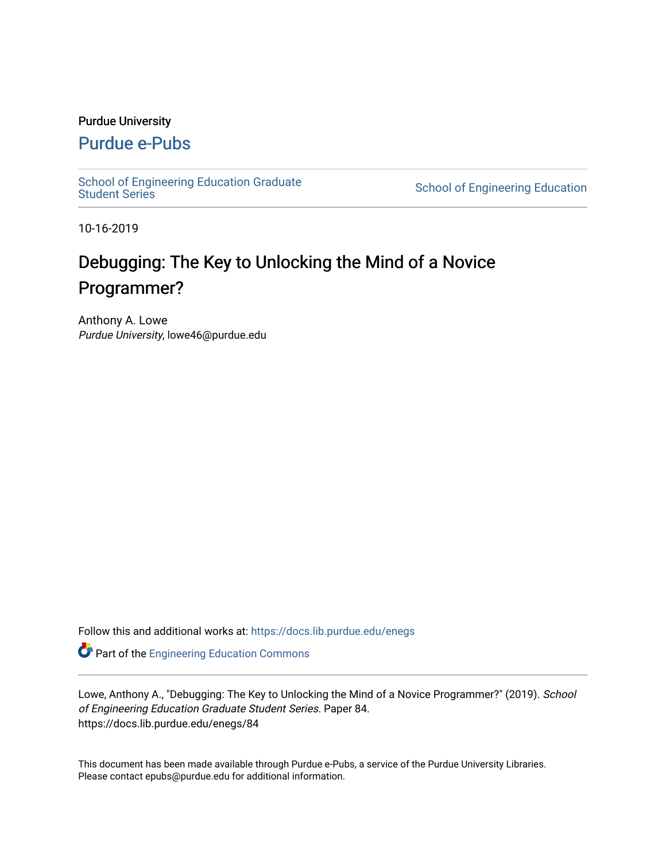#### Purdue University

### [Purdue e-Pubs](https://docs.lib.purdue.edu/)

[School of Engineering Education Graduate](https://docs.lib.purdue.edu/enegs)<br>Student Series

School of Engineering Education

10-16-2019

## Debugging: The Key to Unlocking the Mind of a Novice Programmer?

Anthony A. Lowe Purdue University, lowe46@purdue.edu

Follow this and additional works at: [https://docs.lib.purdue.edu/enegs](https://docs.lib.purdue.edu/enegs?utm_source=docs.lib.purdue.edu%2Fenegs%2F84&utm_medium=PDF&utm_campaign=PDFCoverPages) 

Part of the [Engineering Education Commons](http://network.bepress.com/hgg/discipline/1191?utm_source=docs.lib.purdue.edu%2Fenegs%2F84&utm_medium=PDF&utm_campaign=PDFCoverPages) 

Lowe, Anthony A., "Debugging: The Key to Unlocking the Mind of a Novice Programmer?" (2019). School of Engineering Education Graduate Student Series. Paper 84. https://docs.lib.purdue.edu/enegs/84

This document has been made available through Purdue e-Pubs, a service of the Purdue University Libraries. Please contact epubs@purdue.edu for additional information.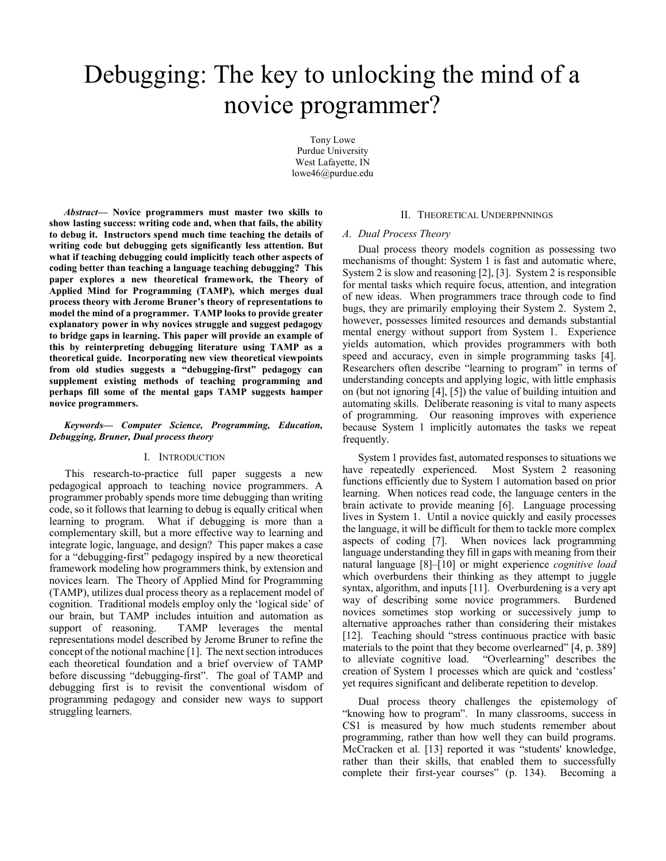# Debugging: The key to unlocking the mind of a novice programmer?

Tony Lowe Purdue University West Lafayette, IN lowe46@purdue.edu

Abstract— Novice programmers must master two skills to show lasting success: writing code and, when that fails, the ability to debug it. Instructors spend much time teaching the details of writing code but debugging gets significantly less attention. But what if teaching debugging could implicitly teach other aspects of coding better than teaching a language teaching debugging? This paper explores a new theoretical framework, the Theory of Applied Mind for Programming (TAMP), which merges dual process theory with Jerome Bruner's theory of representations to model the mind of a programmer. TAMP looks to provide greater explanatory power in why novices struggle and suggest pedagogy to bridge gaps in learning. This paper will provide an example of this by reinterpreting debugging literature using TAMP as a theoretical guide. Incorporating new view theoretical viewpoints from old studies suggests a "debugging-first" pedagogy can supplement existing methods of teaching programming and perhaps fill some of the mental gaps TAMP suggests hamper novice programmers.

#### Keywords— Computer Science, Programming, Education, Debugging, Bruner, Dual process theory

#### I. INTRODUCTION

This research-to-practice full paper suggests a new pedagogical approach to teaching novice programmers. A programmer probably spends more time debugging than writing code, so it follows that learning to debug is equally critical when learning to program. What if debugging is more than a complementary skill, but a more effective way to learning and integrate logic, language, and design? This paper makes a case for a "debugging-first" pedagogy inspired by a new theoretical framework modeling how programmers think, by extension and novices learn. The Theory of Applied Mind for Programming (TAMP), utilizes dual process theory as a replacement model of cognition. Traditional models employ only the 'logical side' of our brain, but TAMP includes intuition and automation as support of reasoning. TAMP leverages the mental representations model described by Jerome Bruner to refine the concept of the notional machine [1]. The next section introduces each theoretical foundation and a brief overview of TAMP before discussing "debugging-first". The goal of TAMP and debugging first is to revisit the conventional wisdom of programming pedagogy and consider new ways to support struggling learners.

#### II. THEORETICAL UNDERPINNINGS

#### A. Dual Process Theory

Dual process theory models cognition as possessing two mechanisms of thought: System 1 is fast and automatic where, System 2 is slow and reasoning [2], [3]. System 2 is responsible for mental tasks which require focus, attention, and integration of new ideas. When programmers trace through code to find bugs, they are primarily employing their System 2. System 2, however, possesses limited resources and demands substantial mental energy without support from System 1. Experience yields automation, which provides programmers with both speed and accuracy, even in simple programming tasks [4]. Researchers often describe "learning to program" in terms of understanding concepts and applying logic, with little emphasis on (but not ignoring [4], [5]) the value of building intuition and automating skills. Deliberate reasoning is vital to many aspects of programming. Our reasoning improves with experience because System 1 implicitly automates the tasks we repeat frequently.

System 1 provides fast, automated responses to situations we have repeatedly experienced. Most System 2 reasoning functions efficiently due to System 1 automation based on prior learning. When notices read code, the language centers in the brain activate to provide meaning [6]. Language processing lives in System 1. Until a novice quickly and easily processes the language, it will be difficult for them to tackle more complex aspects of coding [7]. When novices lack programming language understanding they fill in gaps with meaning from their natural language [8]–[10] or might experience cognitive load which overburdens their thinking as they attempt to juggle syntax, algorithm, and inputs [11]. Overburdening is a very apt way of describing some novice programmers. Burdened novices sometimes stop working or successively jump to alternative approaches rather than considering their mistakes [12]. Teaching should "stress continuous practice with basic materials to the point that they become overlearned" [4, p. 389] to alleviate cognitive load. "Overlearning" describes the creation of System 1 processes which are quick and 'costless' yet requires significant and deliberate repetition to develop.

Dual process theory challenges the epistemology of "knowing how to program". In many classrooms, success in CS1 is measured by how much students remember about programming, rather than how well they can build programs. McCracken et al. [13] reported it was "students' knowledge, rather than their skills, that enabled them to successfully complete their first-year courses" (p. 134). Becoming a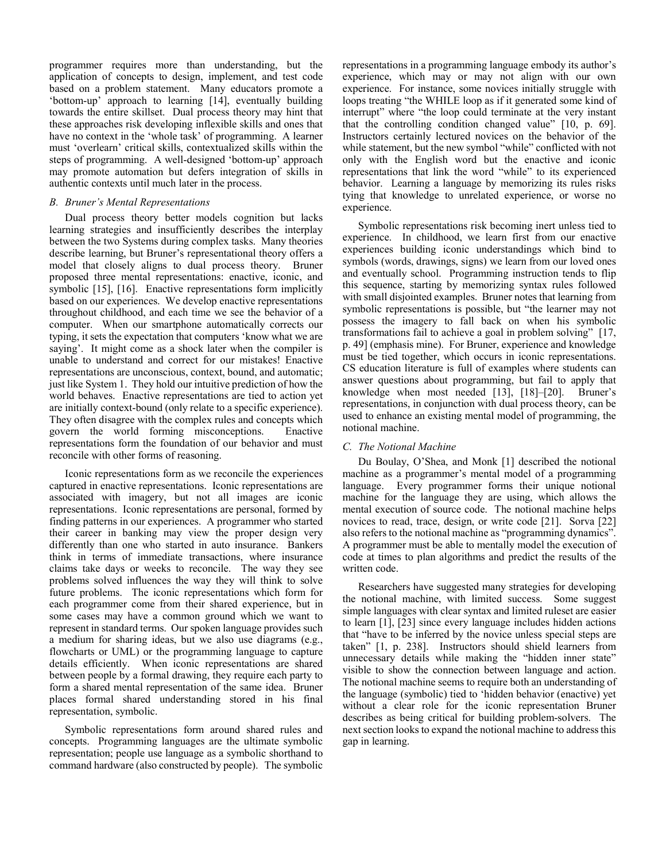programmer requires more than understanding, but the application of concepts to design, implement, and test code based on a problem statement. Many educators promote a 'bottom-up' approach to learning [14], eventually building towards the entire skillset. Dual process theory may hint that these approaches risk developing inflexible skills and ones that have no context in the 'whole task' of programming. A learner must 'overlearn' critical skills, contextualized skills within the steps of programming. A well-designed 'bottom-up' approach may promote automation but defers integration of skills in authentic contexts until much later in the process.

#### B. Bruner's Mental Representations

Dual process theory better models cognition but lacks learning strategies and insufficiently describes the interplay between the two Systems during complex tasks. Many theories describe learning, but Bruner's representational theory offers a model that closely aligns to dual process theory. Bruner proposed three mental representations: enactive, iconic, and symbolic [15], [16]. Enactive representations form implicitly based on our experiences. We develop enactive representations throughout childhood, and each time we see the behavior of a computer. When our smartphone automatically corrects our typing, it sets the expectation that computers 'know what we are saying'. It might come as a shock later when the compiler is unable to understand and correct for our mistakes! Enactive representations are unconscious, context, bound, and automatic; just like System 1. They hold our intuitive prediction of how the world behaves. Enactive representations are tied to action yet are initially context-bound (only relate to a specific experience). They often disagree with the complex rules and concepts which govern the world forming misconceptions. Enactive representations form the foundation of our behavior and must reconcile with other forms of reasoning.

Iconic representations form as we reconcile the experiences captured in enactive representations. Iconic representations are associated with imagery, but not all images are iconic representations. Iconic representations are personal, formed by finding patterns in our experiences. A programmer who started their career in banking may view the proper design very differently than one who started in auto insurance. Bankers think in terms of immediate transactions, where insurance claims take days or weeks to reconcile. The way they see problems solved influences the way they will think to solve future problems. The iconic representations which form for each programmer come from their shared experience, but in some cases may have a common ground which we want to represent in standard terms. Our spoken language provides such a medium for sharing ideas, but we also use diagrams (e.g., flowcharts or UML) or the programming language to capture details efficiently. When iconic representations are shared between people by a formal drawing, they require each party to form a shared mental representation of the same idea. Bruner places formal shared understanding stored in his final representation, symbolic.

Symbolic representations form around shared rules and concepts. Programming languages are the ultimate symbolic representation; people use language as a symbolic shorthand to command hardware (also constructed by people). The symbolic

representations in a programming language embody its author's experience, which may or may not align with our own experience. For instance, some novices initially struggle with loops treating "the WHILE loop as if it generated some kind of interrupt" where "the loop could terminate at the very instant that the controlling condition changed value" [10, p. 69]. Instructors certainly lectured novices on the behavior of the while statement, but the new symbol "while" conflicted with not only with the English word but the enactive and iconic representations that link the word "while" to its experienced behavior. Learning a language by memorizing its rules risks tying that knowledge to unrelated experience, or worse no experience.

Symbolic representations risk becoming inert unless tied to experience. In childhood, we learn first from our enactive experiences building iconic understandings which bind to symbols (words, drawings, signs) we learn from our loved ones and eventually school. Programming instruction tends to flip this sequence, starting by memorizing syntax rules followed with small disjointed examples. Bruner notes that learning from symbolic representations is possible, but "the learner may not possess the imagery to fall back on when his symbolic transformations fail to achieve a goal in problem solving" [17, p. 49] (emphasis mine). For Bruner, experience and knowledge must be tied together, which occurs in iconic representations. CS education literature is full of examples where students can answer questions about programming, but fail to apply that knowledge when most needed [13], [18]–[20]. Bruner's representations, in conjunction with dual process theory, can be used to enhance an existing mental model of programming, the notional machine.

#### C. The Notional Machine

Du Boulay, O'Shea, and Monk [1] described the notional machine as a programmer's mental model of a programming language. Every programmer forms their unique notional machine for the language they are using, which allows the mental execution of source code. The notional machine helps novices to read, trace, design, or write code [21]. Sorva [22] also refers to the notional machine as "programming dynamics". A programmer must be able to mentally model the execution of code at times to plan algorithms and predict the results of the written code.

Researchers have suggested many strategies for developing the notional machine, with limited success. Some suggest simple languages with clear syntax and limited ruleset are easier to learn [1], [23] since every language includes hidden actions that "have to be inferred by the novice unless special steps are taken" [1, p. 238]. Instructors should shield learners from unnecessary details while making the "hidden inner state" visible to show the connection between language and action. The notional machine seems to require both an understanding of the language (symbolic) tied to 'hidden behavior (enactive) yet without a clear role for the iconic representation Bruner describes as being critical for building problem-solvers. The next section looks to expand the notional machine to address this gap in learning.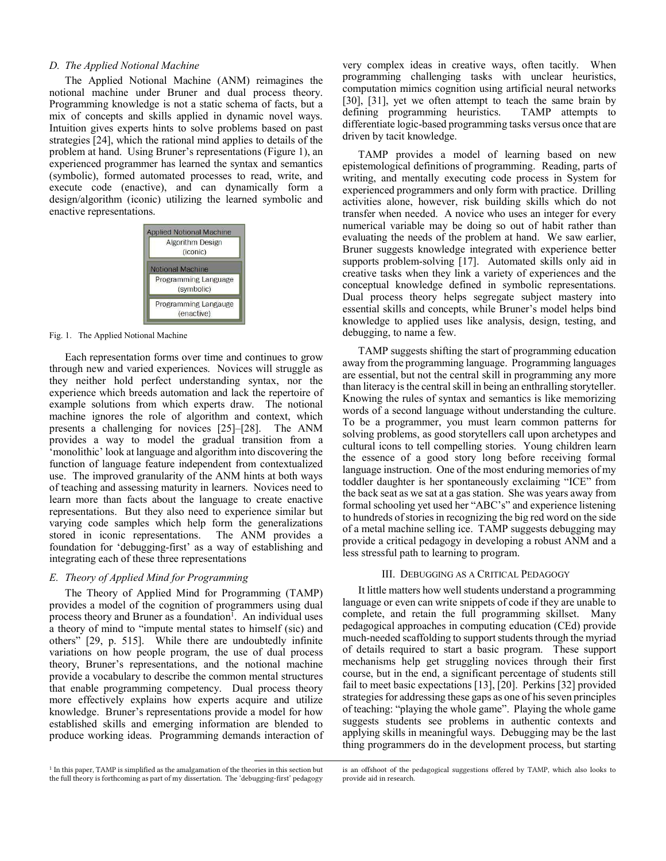#### D. The Applied Notional Machine

The Applied Notional Machine (ANM) reimagines the notional machine under Bruner and dual process theory. Programming knowledge is not a static schema of facts, but a mix of concepts and skills applied in dynamic novel ways. Intuition gives experts hints to solve problems based on past strategies [24], which the rational mind applies to details of the problem at hand. Using Bruner's representations (Figure 1), an experienced programmer has learned the syntax and semantics (symbolic), formed automated processes to read, write, and execute code (enactive), and can dynamically form a design/algorithm (iconic) utilizing the learned symbolic and enactive representations.



Fig. 1. The Applied Notional Machine

Each representation forms over time and continues to grow through new and varied experiences. Novices will struggle as they neither hold perfect understanding syntax, nor the experience which breeds automation and lack the repertoire of example solutions from which experts draw. The notional machine ignores the role of algorithm and context, which presents a challenging for novices [25]–[28]. The ANM provides a way to model the gradual transition from a 'monolithic' look at language and algorithm into discovering the function of language feature independent from contextualized use. The improved granularity of the ANM hints at both ways of teaching and assessing maturity in learners. Novices need to learn more than facts about the language to create enactive representations. But they also need to experience similar but varying code samples which help form the generalizations stored in iconic representations. The ANM provides a foundation for 'debugging-first' as a way of establishing and integrating each of these three representations

#### E. Theory of Applied Mind for Programming

The Theory of Applied Mind for Programming (TAMP) provides a model of the cognition of programmers using dual process theory and Bruner as a foundation<sup>1</sup>. An individual uses a theory of mind to "impute mental states to himself (sic) and others" [29, p. 515]. While there are undoubtedly infinite variations on how people program, the use of dual process theory, Bruner's representations, and the notional machine provide a vocabulary to describe the common mental structures that enable programming competency. Dual process theory more effectively explains how experts acquire and utilize knowledge. Bruner's representations provide a model for how established skills and emerging information are blended to produce working ideas. Programming demands interaction of

very complex ideas in creative ways, often tacitly. When programming challenging tasks with unclear heuristics, computation mimics cognition using artificial neural networks [30], [31], yet we often attempt to teach the same brain by defining programming heuristics. TAMP attempts to differentiate logic-based programming tasks versus once that are driven by tacit knowledge.

TAMP provides a model of learning based on new epistemological definitions of programming. Reading, parts of writing, and mentally executing code process in System for experienced programmers and only form with practice. Drilling activities alone, however, risk building skills which do not transfer when needed. A novice who uses an integer for every numerical variable may be doing so out of habit rather than evaluating the needs of the problem at hand. We saw earlier, Bruner suggests knowledge integrated with experience better supports problem-solving [17]. Automated skills only aid in creative tasks when they link a variety of experiences and the conceptual knowledge defined in symbolic representations. Dual process theory helps segregate subject mastery into essential skills and concepts, while Bruner's model helps bind knowledge to applied uses like analysis, design, testing, and debugging, to name a few.

TAMP suggests shifting the start of programming education away from the programming language. Programming languages are essential, but not the central skill in programming any more than literacy is the central skill in being an enthralling storyteller. Knowing the rules of syntax and semantics is like memorizing words of a second language without understanding the culture. To be a programmer, you must learn common patterns for solving problems, as good storytellers call upon archetypes and cultural icons to tell compelling stories. Young children learn the essence of a good story long before receiving formal language instruction. One of the most enduring memories of my toddler daughter is her spontaneously exclaiming "ICE" from the back seat as we sat at a gas station. She was years away from formal schooling yet used her "ABC's" and experience listening to hundreds of stories in recognizing the big red word on the side of a metal machine selling ice. TAMP suggests debugging may provide a critical pedagogy in developing a robust ANM and a less stressful path to learning to program.

#### III. DEBUGGING AS A CRITICAL PEDAGOGY

It little matters how well students understand a programming language or even can write snippets of code if they are unable to complete, and retain the full programming skillset. Many pedagogical approaches in computing education (CEd) provide much-needed scaffolding to support students through the myriad of details required to start a basic program. These support mechanisms help get struggling novices through their first course, but in the end, a significant percentage of students still fail to meet basic expectations [13], [20]. Perkins [32] provided strategies for addressing these gaps as one of his seven principles of teaching: "playing the whole game". Playing the whole game suggests students see problems in authentic contexts and applying skills in meaningful ways. Debugging may be the last thing programmers do in the development process, but starting

<sup>&</sup>lt;sup>1</sup> In this paper, TAMP is simplified as the amalgamation of the theories in this section but the full theory is forthcoming as part of my dissertation. The 'debugging-first' pedagogy

is an offshoot of the pedagogical suggestions offered by TAMP, which also looks to provide aid in research.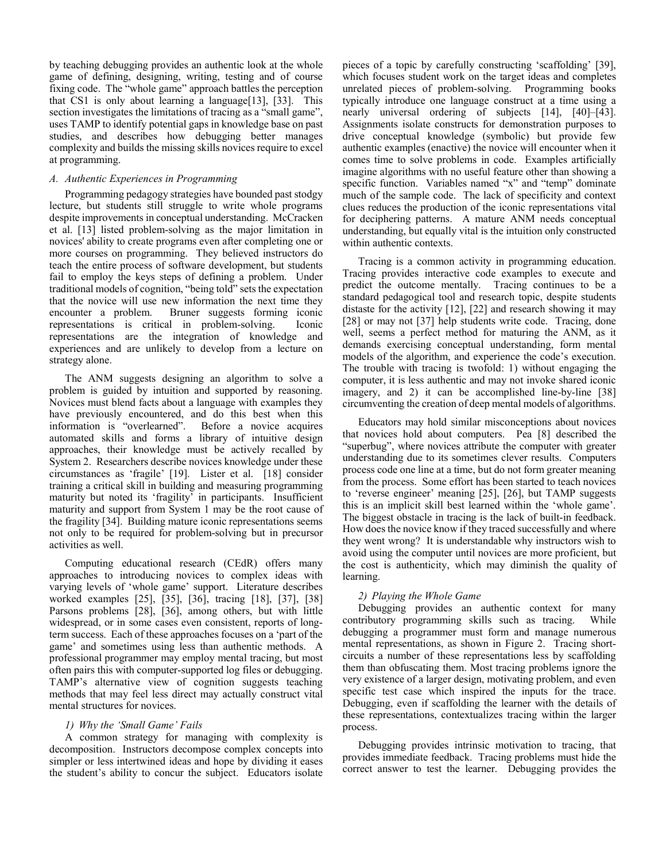by teaching debugging provides an authentic look at the whole game of defining, designing, writing, testing and of course fixing code. The "whole game" approach battles the perception that CS1 is only about learning a language[13], [33]. This section investigates the limitations of tracing as a "small game", uses TAMP to identify potential gaps in knowledge base on past studies, and describes how debugging better manages complexity and builds the missing skills novices require to excel at programming.

#### A. Authentic Experiences in Programming

Programming pedagogy strategies have bounded past stodgy lecture, but students still struggle to write whole programs despite improvements in conceptual understanding. McCracken et al. [13] listed problem-solving as the major limitation in novices' ability to create programs even after completing one or more courses on programming. They believed instructors do teach the entire process of software development, but students fail to employ the keys steps of defining a problem. Under traditional models of cognition, "being told" sets the expectation that the novice will use new information the next time they encounter a problem. Bruner suggests forming iconic representations is critical in problem-solving. Iconic representations are the integration of knowledge and experiences and are unlikely to develop from a lecture on strategy alone.

The ANM suggests designing an algorithm to solve a problem is guided by intuition and supported by reasoning. Novices must blend facts about a language with examples they have previously encountered, and do this best when this information is "overlearned". Before a novice acquires automated skills and forms a library of intuitive design approaches, their knowledge must be actively recalled by System 2. Researchers describe novices knowledge under these circumstances as 'fragile' [19]. Lister et al. [18] consider training a critical skill in building and measuring programming maturity but noted its 'fragility' in participants. Insufficient maturity and support from System 1 may be the root cause of the fragility [34]. Building mature iconic representations seems not only to be required for problem-solving but in precursor activities as well.

Computing educational research (CEdR) offers many approaches to introducing novices to complex ideas with varying levels of 'whole game' support. Literature describes worked examples [25], [35], [36], tracing [18], [37], [38] Parsons problems [28], [36], among others, but with little widespread, or in some cases even consistent, reports of longterm success. Each of these approaches focuses on a 'part of the game' and sometimes using less than authentic methods. A professional programmer may employ mental tracing, but most often pairs this with computer-supported log files or debugging. TAMP's alternative view of cognition suggests teaching methods that may feel less direct may actually construct vital mental structures for novices.

#### 1) Why the 'Small Game' Fails

A common strategy for managing with complexity is decomposition. Instructors decompose complex concepts into simpler or less intertwined ideas and hope by dividing it eases the student's ability to concur the subject. Educators isolate

pieces of a topic by carefully constructing 'scaffolding' [39], which focuses student work on the target ideas and completes unrelated pieces of problem-solving. Programming books typically introduce one language construct at a time using a nearly universal ordering of subjects [14], [40]–[43]. Assignments isolate constructs for demonstration purposes to drive conceptual knowledge (symbolic) but provide few authentic examples (enactive) the novice will encounter when it comes time to solve problems in code. Examples artificially imagine algorithms with no useful feature other than showing a specific function. Variables named "x" and "temp" dominate much of the sample code. The lack of specificity and context clues reduces the production of the iconic representations vital for deciphering patterns. A mature ANM needs conceptual understanding, but equally vital is the intuition only constructed within authentic contexts.

Tracing is a common activity in programming education. Tracing provides interactive code examples to execute and predict the outcome mentally. Tracing continues to be a standard pedagogical tool and research topic, despite students distaste for the activity [12], [22] and research showing it may [28] or may not [37] help students write code. Tracing, done well, seems a perfect method for maturing the ANM, as it demands exercising conceptual understanding, form mental models of the algorithm, and experience the code's execution. The trouble with tracing is twofold: 1) without engaging the computer, it is less authentic and may not invoke shared iconic imagery, and 2) it can be accomplished line-by-line [38] circumventing the creation of deep mental models of algorithms.

Educators may hold similar misconceptions about novices that novices hold about computers. Pea [8] described the "superbug", where novices attribute the computer with greater understanding due to its sometimes clever results. Computers process code one line at a time, but do not form greater meaning from the process. Some effort has been started to teach novices to 'reverse engineer' meaning [25], [26], but TAMP suggests this is an implicit skill best learned within the 'whole game'. The biggest obstacle in tracing is the lack of built-in feedback. How does the novice know if they traced successfully and where they went wrong? It is understandable why instructors wish to avoid using the computer until novices are more proficient, but the cost is authenticity, which may diminish the quality of learning.

#### 2) Playing the Whole Game

Debugging provides an authentic context for many contributory programming skills such as tracing. While debugging a programmer must form and manage numerous mental representations, as shown in Figure 2. Tracing shortcircuits a number of these representations less by scaffolding them than obfuscating them. Most tracing problems ignore the very existence of a larger design, motivating problem, and even specific test case which inspired the inputs for the trace. Debugging, even if scaffolding the learner with the details of these representations, contextualizes tracing within the larger process.

Debugging provides intrinsic motivation to tracing, that provides immediate feedback. Tracing problems must hide the correct answer to test the learner. Debugging provides the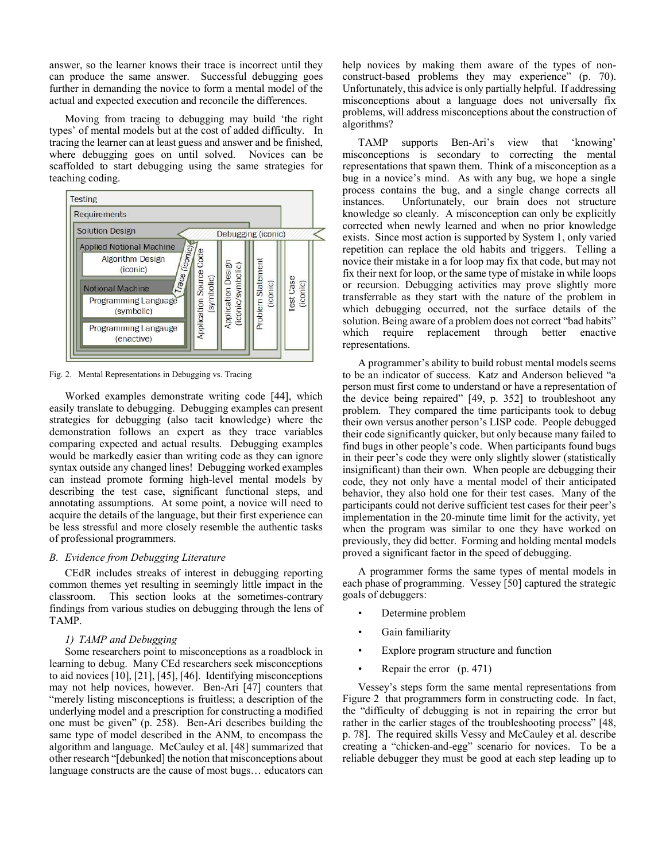answer, so the learner knows their trace is incorrect until they can produce the same answer. Successful debugging goes further in demanding the novice to form a mental model of the actual and expected execution and reconcile the differences.

Moving from tracing to debugging may build 'the right types' of mental models but at the cost of added difficulty. In tracing the learner can at least guess and answer and be finished, where debugging goes on until solved. Novices can be scaffolded to start debugging using the same strategies for teaching coding.



Fig. 2. Mental Representations in Debugging vs. Tracing

Worked examples demonstrate writing code [44], which easily translate to debugging. Debugging examples can present strategies for debugging (also tacit knowledge) where the demonstration follows an expert as they trace variables comparing expected and actual results. Debugging examples would be markedly easier than writing code as they can ignore syntax outside any changed lines! Debugging worked examples can instead promote forming high-level mental models by describing the test case, significant functional steps, and annotating assumptions. At some point, a novice will need to acquire the details of the language, but their first experience can be less stressful and more closely resemble the authentic tasks of professional programmers.

#### B. Evidence from Debugging Literature

CEdR includes streaks of interest in debugging reporting common themes yet resulting in seemingly little impact in the classroom. This section looks at the sometimes-contrary findings from various studies on debugging through the lens of TAMP.

#### 1) TAMP and Debugging

Some researchers point to misconceptions as a roadblock in learning to debug. Many CEd researchers seek misconceptions to aid novices [10], [21], [45], [46]. Identifying misconceptions may not help novices, however. Ben-Ari [47] counters that "merely listing misconceptions is fruitless; a description of the underlying model and a prescription for constructing a modified one must be given" (p. 258). Ben-Ari describes building the same type of model described in the ANM, to encompass the algorithm and language. McCauley et al. [48] summarized that other research "[debunked] the notion that misconceptions about language constructs are the cause of most bugs… educators can

help novices by making them aware of the types of nonconstruct-based problems they may experience" (p. 70). Unfortunately, this advice is only partially helpful. If addressing misconceptions about a language does not universally fix problems, will address misconceptions about the construction of algorithms?

 TAMP supports Ben-Ari's view that 'knowing' misconceptions is secondary to correcting the mental representations that spawn them. Think of a misconception as a bug in a novice's mind. As with any bug, we hope a single process contains the bug, and a single change corrects all instances. Unfortunately, our brain does not structure knowledge so cleanly. A misconception can only be explicitly corrected when newly learned and when no prior knowledge exists. Since most action is supported by System 1, only varied repetition can replace the old habits and triggers. Telling a novice their mistake in a for loop may fix that code, but may not fix their next for loop, or the same type of mistake in while loops or recursion. Debugging activities may prove slightly more transferrable as they start with the nature of the problem in which debugging occurred, not the surface details of the solution. Being aware of a problem does not correct "bad habits" which require replacement through better enactive representations.

A programmer's ability to build robust mental models seems to be an indicator of success. Katz and Anderson believed "a person must first come to understand or have a representation of the device being repaired" [49, p. 352] to troubleshoot any problem. They compared the time participants took to debug their own versus another person's LISP code. People debugged their code significantly quicker, but only because many failed to find bugs in other people's code. When participants found bugs in their peer's code they were only slightly slower (statistically insignificant) than their own. When people are debugging their code, they not only have a mental model of their anticipated behavior, they also hold one for their test cases. Many of the participants could not derive sufficient test cases for their peer's implementation in the 20-minute time limit for the activity, yet when the program was similar to one they have worked on previously, they did better. Forming and holding mental models proved a significant factor in the speed of debugging.

A programmer forms the same types of mental models in each phase of programming. Vessey [50] captured the strategic goals of debuggers:

- Determine problem
- Gain familiarity
- Explore program structure and function
- Repair the error (p. 471)

Vessey's steps form the same mental representations from Figure 2 that programmers form in constructing code. In fact, the "difficulty of debugging is not in repairing the error but rather in the earlier stages of the troubleshooting process" [48, p. 78]. The required skills Vessy and McCauley et al. describe creating a "chicken-and-egg" scenario for novices. To be a reliable debugger they must be good at each step leading up to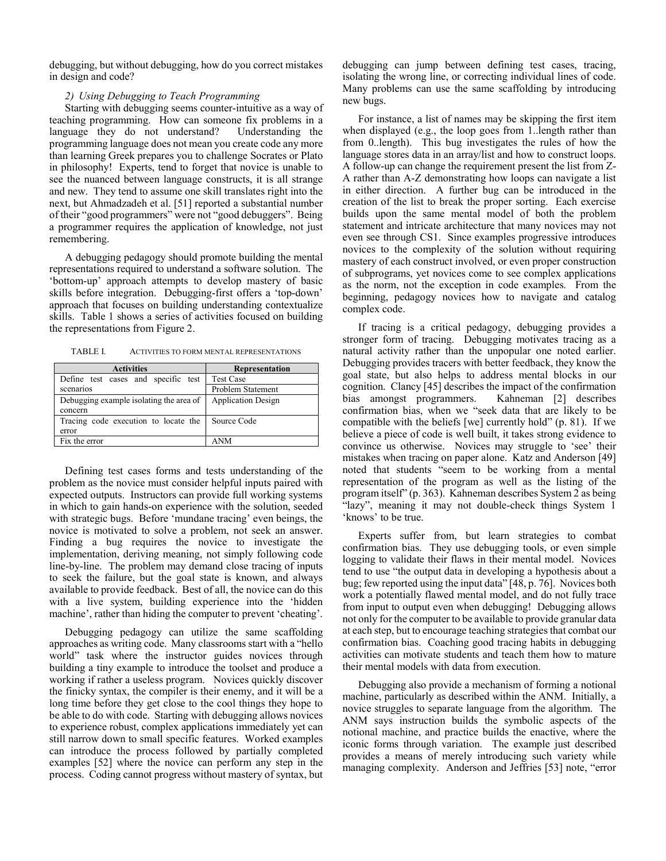debugging, but without debugging, how do you correct mistakes in design and code?

#### 2) Using Debugging to Teach Programming

Starting with debugging seems counter-intuitive as a way of teaching programming. How can someone fix problems in a language they do not understand? Understanding the programming language does not mean you create code any more than learning Greek prepares you to challenge Socrates or Plato in philosophy! Experts, tend to forget that novice is unable to see the nuanced between language constructs, it is all strange and new. They tend to assume one skill translates right into the next, but Ahmadzadeh et al. [51] reported a substantial number of their "good programmers" were not "good debuggers". Being a programmer requires the application of knowledge, not just remembering.

A debugging pedagogy should promote building the mental representations required to understand a software solution. The 'bottom-up' approach attempts to develop mastery of basic skills before integration. Debugging-first offers a 'top-down' approach that focuses on building understanding contextualize skills. Table 1 shows a series of activities focused on building the representations from Figure 2.

TABLE I. ACTIVITIES TO FORM MENTAL REPRESENTATIONS

| <b>Activities</b>                       | <b>Representation</b>     |
|-----------------------------------------|---------------------------|
| Define test cases and specific test     | <b>Test Case</b>          |
| scenarios                               | Problem Statement         |
| Debugging example isolating the area of | <b>Application Design</b> |
| concern                                 |                           |
| Tracing code execution to locate the    | Source Code               |
| error                                   |                           |
| Fix the error                           | ANM                       |

Defining test cases forms and tests understanding of the problem as the novice must consider helpful inputs paired with expected outputs. Instructors can provide full working systems in which to gain hands-on experience with the solution, seeded with strategic bugs. Before 'mundane tracing' even beings, the novice is motivated to solve a problem, not seek an answer. Finding a bug requires the novice to investigate the implementation, deriving meaning, not simply following code line-by-line. The problem may demand close tracing of inputs to seek the failure, but the goal state is known, and always available to provide feedback. Best of all, the novice can do this with a live system, building experience into the 'hidden machine', rather than hiding the computer to prevent 'cheating'.

Debugging pedagogy can utilize the same scaffolding approaches as writing code. Many classrooms start with a "hello world" task where the instructor guides novices through building a tiny example to introduce the toolset and produce a working if rather a useless program. Novices quickly discover the finicky syntax, the compiler is their enemy, and it will be a long time before they get close to the cool things they hope to be able to do with code. Starting with debugging allows novices to experience robust, complex applications immediately yet can still narrow down to small specific features. Worked examples can introduce the process followed by partially completed examples [52] where the novice can perform any step in the process. Coding cannot progress without mastery of syntax, but

debugging can jump between defining test cases, tracing, isolating the wrong line, or correcting individual lines of code. Many problems can use the same scaffolding by introducing new bugs.

For instance, a list of names may be skipping the first item when displayed (e.g., the loop goes from 1..length rather than from 0..length). This bug investigates the rules of how the language stores data in an array/list and how to construct loops. A follow-up can change the requirement present the list from Z-A rather than A-Z demonstrating how loops can navigate a list in either direction. A further bug can be introduced in the creation of the list to break the proper sorting. Each exercise builds upon the same mental model of both the problem statement and intricate architecture that many novices may not even see through CS1. Since examples progressive introduces novices to the complexity of the solution without requiring mastery of each construct involved, or even proper construction of subprograms, yet novices come to see complex applications as the norm, not the exception in code examples. From the beginning, pedagogy novices how to navigate and catalog complex code.

If tracing is a critical pedagogy, debugging provides a stronger form of tracing. Debugging motivates tracing as a natural activity rather than the unpopular one noted earlier. Debugging provides tracers with better feedback, they know the goal state, but also helps to address mental blocks in our cognition. Clancy [45] describes the impact of the confirmation bias amongst programmers. Kahneman [2] describes confirmation bias, when we "seek data that are likely to be compatible with the beliefs [we] currently hold" (p. 81). If we believe a piece of code is well built, it takes strong evidence to convince us otherwise. Novices may struggle to 'see' their mistakes when tracing on paper alone. Katz and Anderson [49] noted that students "seem to be working from a mental representation of the program as well as the listing of the program itself" (p. 363). Kahneman describes System 2 as being "lazy", meaning it may not double-check things System 1 'knows' to be true.

Experts suffer from, but learn strategies to combat confirmation bias. They use debugging tools, or even simple logging to validate their flaws in their mental model. Novices tend to use "the output data in developing a hypothesis about a bug; few reported using the input data" [48, p. 76]. Novices both work a potentially flawed mental model, and do not fully trace from input to output even when debugging! Debugging allows not only for the computer to be available to provide granular data at each step, but to encourage teaching strategies that combat our confirmation bias. Coaching good tracing habits in debugging activities can motivate students and teach them how to mature their mental models with data from execution.

Debugging also provide a mechanism of forming a notional machine, particularly as described within the ANM. Initially, a novice struggles to separate language from the algorithm. The ANM says instruction builds the symbolic aspects of the notional machine, and practice builds the enactive, where the iconic forms through variation. The example just described provides a means of merely introducing such variety while managing complexity. Anderson and Jeffries [53] note, "error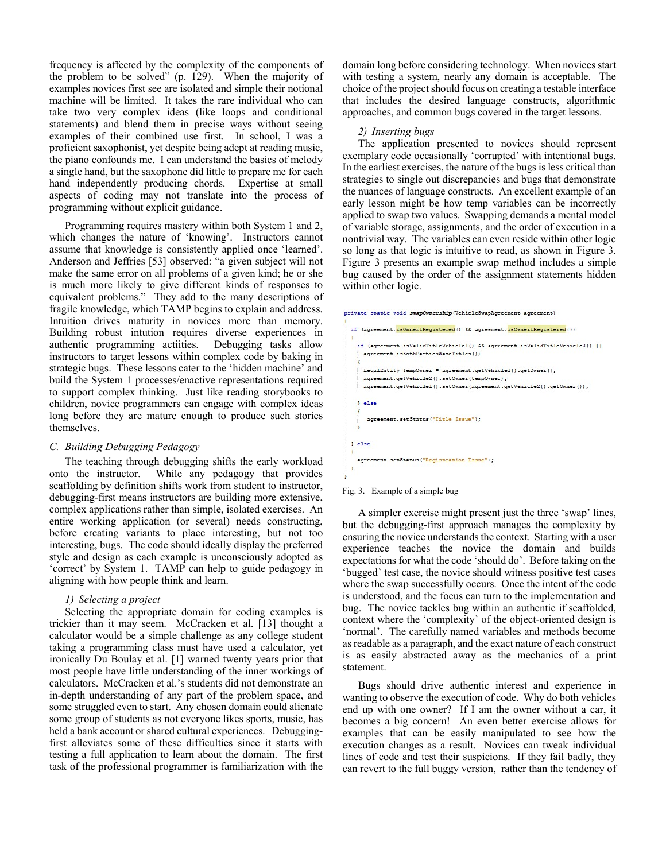frequency is affected by the complexity of the components of the problem to be solved" (p. 129). When the majority of examples novices first see are isolated and simple their notional machine will be limited. It takes the rare individual who can take two very complex ideas (like loops and conditional statements) and blend them in precise ways without seeing examples of their combined use first. In school, I was a proficient saxophonist, yet despite being adept at reading music, the piano confounds me. I can understand the basics of melody a single hand, but the saxophone did little to prepare me for each hand independently producing chords. Expertise at small aspects of coding may not translate into the process of programming without explicit guidance.

Programming requires mastery within both System 1 and 2, which changes the nature of 'knowing'. Instructors cannot assume that knowledge is consistently applied once 'learned'. Anderson and Jeffries [53] observed: "a given subject will not make the same error on all problems of a given kind; he or she is much more likely to give different kinds of responses to equivalent problems." They add to the many descriptions of fragile knowledge, which TAMP begins to explain and address. Intuition drives maturity in novices more than memory. Building robust intution requires diverse experiences in authentic programming actiities. Debugging tasks allow instructors to target lessons within complex code by baking in strategic bugs. These lessons cater to the 'hidden machine' and build the System 1 processes/enactive representations required to support complex thinking. Just like reading storybooks to children, novice programmers can engage with complex ideas long before they are mature enough to produce such stories themselves.

#### C. Building Debugging Pedagogy

The teaching through debugging shifts the early workload onto the instructor. While any pedagogy that provides scaffolding by definition shifts work from student to instructor, debugging-first means instructors are building more extensive, complex applications rather than simple, isolated exercises. An entire working application (or several) needs constructing, before creating variants to place interesting, but not too interesting, bugs. The code should ideally display the preferred style and design as each example is unconsciously adopted as 'correct' by System 1. TAMP can help to guide pedagogy in aligning with how people think and learn.

#### 1) Selecting a project

Selecting the appropriate domain for coding examples is trickier than it may seem. McCracken et al. [13] thought a calculator would be a simple challenge as any college student taking a programming class must have used a calculator, yet ironically Du Boulay et al. [1] warned twenty years prior that most people have little understanding of the inner workings of calculators. McCracken et al.'s students did not demonstrate an in-depth understanding of any part of the problem space, and some struggled even to start. Any chosen domain could alienate some group of students as not everyone likes sports, music, has held a bank account or shared cultural experiences. Debuggingfirst alleviates some of these difficulties since it starts with testing a full application to learn about the domain. The first task of the professional programmer is familiarization with the

domain long before considering technology. When novices start with testing a system, nearly any domain is acceptable. The choice of the project should focus on creating a testable interface that includes the desired language constructs, algorithmic approaches, and common bugs covered in the target lessons.

#### 2) Inserting bugs

The application presented to novices should represent exemplary code occasionally 'corrupted' with intentional bugs. In the earliest exercises, the nature of the bugs is less critical than strategies to single out discrepancies and bugs that demonstrate the nuances of language constructs. An excellent example of an early lesson might be how temp variables can be incorrectly applied to swap two values. Swapping demands a mental model of variable storage, assignments, and the order of execution in a nontrivial way. The variables can even reside within other logic so long as that logic is intuitive to read, as shown in Figure 3. Figure 3 presents an example swap method includes a simple bug caused by the order of the assignment statements hidden within other logic.

private static void swapOwnership(VehicleSwapAgreement agreement)

```
if (agreement.isOwnerlRegistered() 66 agreement.isOwnerlRegistered())
  if (agreement.isValidTitleVehicle1() && agreement.isValidTitleVehicle2() ||
   agreement.isBothPartiesWaveTitles())
   LegalEntity tempOwner = agreement.getVehicle1().getOwner();
   agreement.getVehicle2().setOwner(tempOwner);
   agreement.getVehicle1().setOwner(agreement.getVehicle2().getOwner());
 } else
    agreement.setStatus("Title Issue");
} else
  agreement.setStatus("Registration Issue");
```
#### Fig. 3. Example of a simple bug

A simpler exercise might present just the three 'swap' lines, but the debugging-first approach manages the complexity by ensuring the novice understands the context. Starting with a user experience teaches the novice the domain and builds expectations for what the code 'should do'. Before taking on the 'bugged' test case, the novice should witness positive test cases where the swap successfully occurs. Once the intent of the code is understood, and the focus can turn to the implementation and bug. The novice tackles bug within an authentic if scaffolded, context where the 'complexity' of the object-oriented design is 'normal'. The carefully named variables and methods become as readable as a paragraph, and the exact nature of each construct is as easily abstracted away as the mechanics of a print statement.

Bugs should drive authentic interest and experience in wanting to observe the execution of code. Why do both vehicles end up with one owner? If I am the owner without a car, it becomes a big concern! An even better exercise allows for examples that can be easily manipulated to see how the execution changes as a result. Novices can tweak individual lines of code and test their suspicions. If they fail badly, they can revert to the full buggy version, rather than the tendency of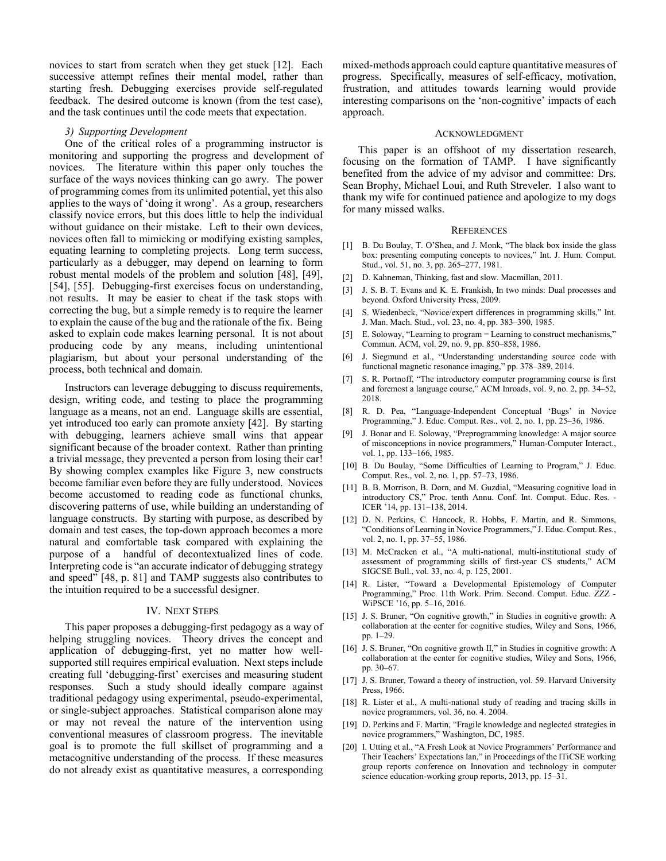novices to start from scratch when they get stuck [12]. Each successive attempt refines their mental model, rather than starting fresh. Debugging exercises provide self-regulated feedback. The desired outcome is known (from the test case), and the task continues until the code meets that expectation.

#### 3) Supporting Development

One of the critical roles of a programming instructor is monitoring and supporting the progress and development of novices. The literature within this paper only touches the surface of the ways novices thinking can go awry. The power of programming comes from its unlimited potential, yet this also applies to the ways of 'doing it wrong'. As a group, researchers classify novice errors, but this does little to help the individual without guidance on their mistake. Left to their own devices, novices often fall to mimicking or modifying existing samples, equating learning to completing projects. Long term success, particularly as a debugger, may depend on learning to form robust mental models of the problem and solution [48], [49], [54], [55]. Debugging-first exercises focus on understanding, not results. It may be easier to cheat if the task stops with correcting the bug, but a simple remedy is to require the learner to explain the cause of the bug and the rationale of the fix. Being asked to explain code makes learning personal. It is not about producing code by any means, including unintentional plagiarism, but about your personal understanding of the process, both technical and domain.

Instructors can leverage debugging to discuss requirements, design, writing code, and testing to place the programming language as a means, not an end. Language skills are essential, yet introduced too early can promote anxiety [42]. By starting with debugging, learners achieve small wins that appear significant because of the broader context. Rather than printing a trivial message, they prevented a person from losing their car! By showing complex examples like Figure 3, new constructs become familiar even before they are fully understood. Novices become accustomed to reading code as functional chunks, discovering patterns of use, while building an understanding of language constructs. By starting with purpose, as described by domain and test cases, the top-down approach becomes a more natural and comfortable task compared with explaining the purpose of a handful of decontextualized lines of code. Interpreting code is "an accurate indicator of debugging strategy and speed" [48, p. 81] and TAMP suggests also contributes to the intuition required to be a successful designer.

#### IV. NEXT STEPS

This paper proposes a debugging-first pedagogy as a way of helping struggling novices. Theory drives the concept and application of debugging-first, yet no matter how wellsupported still requires empirical evaluation. Next steps include creating full 'debugging-first' exercises and measuring student responses. Such a study should ideally compare against traditional pedagogy using experimental, pseudo-experimental, or single-subject approaches. Statistical comparison alone may or may not reveal the nature of the intervention using conventional measures of classroom progress. The inevitable goal is to promote the full skillset of programming and a metacognitive understanding of the process. If these measures do not already exist as quantitative measures, a corresponding

mixed-methods approach could capture quantitative measures of progress. Specifically, measures of self-efficacy, motivation, frustration, and attitudes towards learning would provide interesting comparisons on the 'non-cognitive' impacts of each approach.

#### ACKNOWLEDGMENT

This paper is an offshoot of my dissertation research, focusing on the formation of TAMP. I have significantly benefited from the advice of my advisor and committee: Drs. Sean Brophy, Michael Loui, and Ruth Streveler. I also want to thank my wife for continued patience and apologize to my dogs for many missed walks.

#### **REFERENCES**

- [1] B. Du Boulay, T. O'Shea, and J. Monk, "The black box inside the glass box: presenting computing concepts to novices," Int. J. Hum. Comput. Stud., vol. 51, no. 3, pp. 265–277, 1981.
- [2] D. Kahneman, Thinking, fast and slow. Macmillan, 2011.
- [3] J. S. B. T. Evans and K. E. Frankish, In two minds: Dual processes and beyond. Oxford University Press, 2009.
- [4] S. Wiedenbeck, "Novice/expert differences in programming skills," Int. J. Man. Mach. Stud., vol. 23, no. 4, pp. 383–390, 1985.
- [5] E. Soloway, "Learning to program = Learning to construct mechanisms," Commun. ACM, vol. 29, no. 9, pp. 850–858, 1986.
- [6] J. Siegmund et al., "Understanding understanding source code with functional magnetic resonance imaging," pp. 378–389, 2014.
- [7] S. R. Portnoff, "The introductory computer programming course is first and foremost a language course," ACM Inroads, vol. 9, no. 2, pp. 34–52, 2018.
- [8] R. D. Pea, "Language-Independent Conceptual 'Bugs' in Novice Programming," J. Educ. Comput. Res., vol. 2, no. 1, pp. 25–36, 1986.
- [9] J. Bonar and E. Soloway, "Preprogramming knowledge: A major source of misconceptions in novice programmers," Human-Computer Interact., vol. 1, pp. 133–166, 1985.
- [10] B. Du Boulay, "Some Difficulties of Learning to Program," J. Educ. Comput. Res., vol. 2, no. 1, pp. 57–73, 1986.
- [11] B. B. Morrison, B. Dorn, and M. Guzdial, "Measuring cognitive load in introductory CS," Proc. tenth Annu. Conf. Int. Comput. Educ. Res. - ICER '14, pp. 131–138, 2014.
- [12] D. N. Perkins, C. Hancock, R. Hobbs, F. Martin, and R. Simmons, "Conditions of Learning in Novice Programmers," J. Educ. Comput. Res., vol. 2, no. 1, pp. 37–55, 1986.
- [13] M. McCracken et al., "A multi-national, multi-institutional study of assessment of programming skills of first-year CS students," ACM SIGCSE Bull., vol. 33, no. 4, p. 125, 2001.
- [14] R. Lister, "Toward a Developmental Epistemology of Computer Programming," Proc. 11th Work. Prim. Second. Comput. Educ. ZZZ - WiPSCE '16, pp. 5–16, 2016.
- [15] J. S. Bruner, "On cognitive growth," in Studies in cognitive growth: A collaboration at the center for cognitive studies, Wiley and Sons, 1966, pp. 1–29.
- [16] J. S. Bruner, "On cognitive growth II," in Studies in cognitive growth: A collaboration at the center for cognitive studies, Wiley and Sons, 1966, pp. 30–67.
- [17] J. S. Bruner, Toward a theory of instruction, vol. 59. Harvard University Press, 1966.
- [18] R. Lister et al., A multi-national study of reading and tracing skills in novice programmers, vol. 36, no. 4. 2004.
- [19] D. Perkins and F. Martin, "Fragile knowledge and neglected strategies in novice programmers," Washington, DC, 1985.
- [20] I. Utting et al., "A Fresh Look at Novice Programmers' Performance and Their Teachers' Expectations Ian," in Proceedings of the ITiCSE working group reports conference on Innovation and technology in computer science education-working group reports, 2013, pp. 15–31.